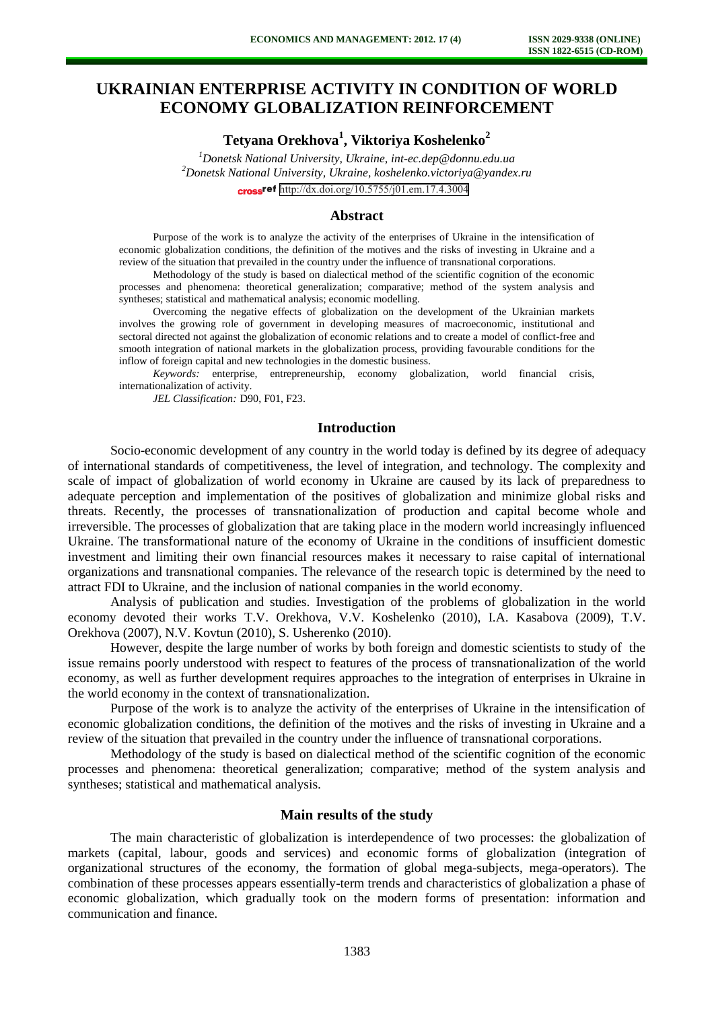# **UKRAINIAN ENTERPRISE ACTIVITY IN CONDITION OF WORLD ECONOMY GLOBALIZATION REINFORCEMENT**

**Tetyana Orekhova<sup>1</sup> , Viktoriya Koshelenko<sup>2</sup>**

*<sup>1</sup>Donetsk National University, Ukraine, [int-ec.dep@donnu.edu.ua](mailto:int-ec.dep@donnu.edu.ua) <sup>2</sup>Donetsk National University, Ukraine, koshelenko.victoriya@yandex.ru* cross<sup>ref</sup> <http://dx.doi.org/10.5755/j01.em.17.4.3004>

# **Abstract**

Purpose of the work is to analyze the activity of the enterprises of Ukraine in the intensification of economic globalization conditions, the definition of the motives and the risks of investing in Ukraine and a review of the situation that prevailed in the country under the influence of transnational corporations.

Methodology of the study is based on dialectical method of the scientific cognition of the economic processes and phenomena: theoretical generalization; comparative; method of the system analysis and syntheses; statistical and mathematical analysis; economic modelling.

Overcoming the negative effects of globalization on the development of the Ukrainian markets involves the growing role of government in developing measures of macroeconomic, institutional and sectoral directed not against the globalization of economic relations and to create a model of conflict-free and smooth integration of national markets in the globalization process, providing favourable conditions for the inflow of foreign capital and new technologies in the domestic business.

*Keywords:* enterprise, entrepreneurship, economy globalization, world financial crisis, internationalization of activity.

*JEL Classification:* D90, F01, F23.

# **Introduction**

Socio-economic development of any country in the world today is defined by its degree of adequacy of international standards of competitiveness, the level of integration, and technology. The complexity and scale of impact of globalization of world economy in Ukraine are caused by its lack of preparedness to adequate perception and implementation of the positives of globalization and minimize global risks and threats. Recently, the processes of transnationalization of production and capital become whole and irreversible. The processes of globalization that are taking place in the modern world increasingly influenced Ukraine. The transformational nature of the economy of Ukraine in the conditions of insufficient domestic investment and limiting their own financial resources makes it necessary to raise capital of international organizations and transnational companies. The relevance of the research topic is determined by the need to attract FDI to Ukraine, and the inclusion of national companies in the world economy.

Analysis of publication and studies. Investigation of the problems of globalization in the world economy devoted their works T.V. Orekhova, V.V. Koshelenko (2010), I.A. Kasabova (2009), T.V. Orekhova (2007), N.V. Kovtun (2010), S. Usherenko (2010).

However, despite the large number of works by both foreign and domestic scientists to study of the issue remains poorly understood with respect to features of the process of transnationalization of the world economy, as well as further development requires approaches to the integration of enterprises in Ukraine in the world economy in the context of transnationalization.

Purpose of the work is to analyze the activity of the enterprises of Ukraine in the intensification of economic globalization conditions, the definition of the motives and the risks of investing in Ukraine and a review of the situation that prevailed in the country under the influence of transnational corporations.

Methodology of the study is based on dialectical method of the scientific cognition of the economic processes and phenomena: theoretical generalization; comparative; method of the system analysis and syntheses; statistical and mathematical analysis.

### **Main results of the study**

The main characteristic of globalization is interdependence of two processes: the globalization of markets (capital, labour, goods and services) and economic forms of globalization (integration of organizational structures of the economy, the formation of global mega-subjects, mega-operators). The combination of these processes appears essentially-term trends and characteristics of globalization a phase of economic globalization, which gradually took on the modern forms of presentation: information and communication and finance.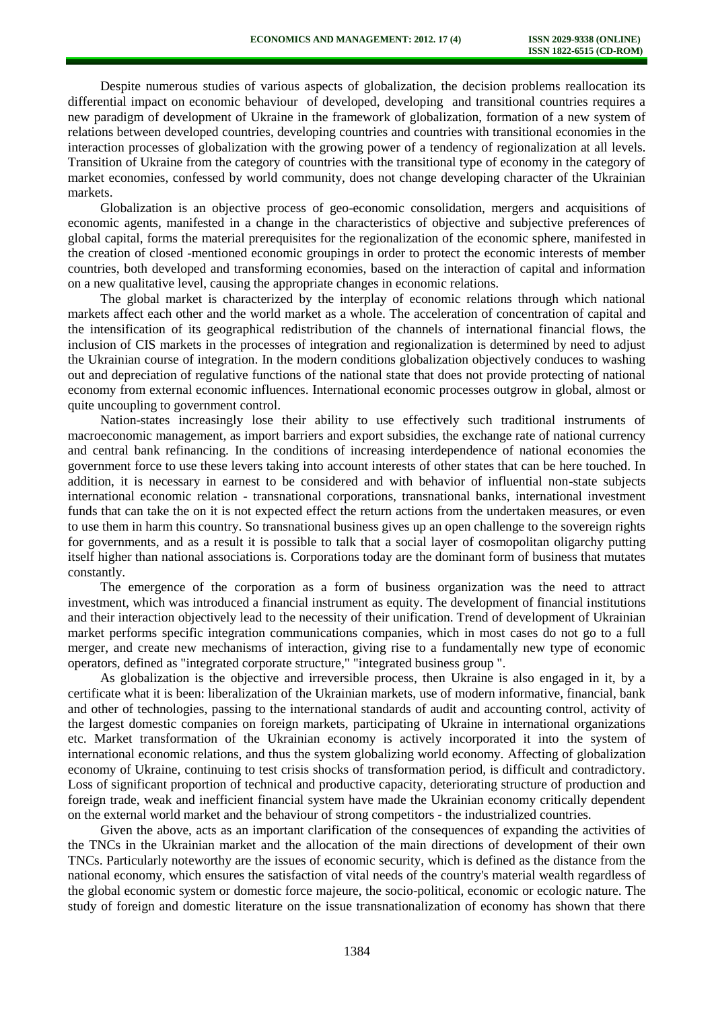Despite numerous studies of various aspects of globalization, the decision problems reallocation its differential impact on economic behaviour of developed, developing and transitional countries requires a new paradigm of development of Ukraine in the framework of globalization, formation of a new system of relations between developed countries, developing countries and countries with transitional economies in the interaction processes of globalization with the growing power of a tendency of regionalization at all levels. Transition of Ukraine from the category of countries with the transitional type of economy in the category of market economies, confessed by world community, does not change developing character of the Ukrainian markets.

Globalization is an objective process of geo-economic consolidation, mergers and acquisitions of economic agents, manifested in a change in the characteristics of objective and subjective preferences of global capital, forms the material prerequisites for the regionalization of the economic sphere, manifested in the creation of closed -mentioned economic groupings in order to protect the economic interests of member countries, both developed and transforming economies, based on the interaction of capital and information on a new qualitative level, causing the appropriate changes in economic relations.

The global market is characterized by the interplay of economic relations through which national markets affect each other and the world market as a whole. The acceleration of concentration of capital and the intensification of its geographical redistribution of the channels of international financial flows, the inclusion of CIS markets in the processes of integration and regionalization is determined by need to adjust the Ukrainian course of integration. In the modern conditions globalization objectively conduces to washing out and depreciation of regulative functions of the national state that does not provide protecting of national economy from external economic influences. International economic processes outgrow in global, almost or quite uncoupling to government control.

Nation-states increasingly lose their ability to use effectively such traditional instruments of macroeconomic management, as import barriers and export subsidies, the exchange rate of national currency and central bank refinancing. In the conditions of increasing interdependence of national economies the government force to use these levers taking into account interests of other states that can be here touched. In addition, it is necessary in earnest to be considered and with behavior of influential non-state subjects international economic relation - transnational corporations, transnational banks, international investment funds that can take the on it is not expected effect the return actions from the undertaken measures, or even to use them in harm this country. So transnational business gives up an open challenge to the sovereign rights for governments, and as a result it is possible to talk that a social layer of cosmopolitan oligarchy putting itself higher than national associations is. Corporations today are the dominant form of business that mutates constantly.

The emergence of the corporation as a form of business organization was the need to attract investment, which was introduced a financial instrument as equity. The development of financial institutions and their interaction objectively lead to the necessity of their unification. Trend of development of Ukrainian market performs specific integration communications companies, which in most cases do not go to a full merger, and create new mechanisms of interaction, giving rise to a fundamentally new type of economic operators, defined as "integrated corporate structure," "integrated business group ".

As globalization is the objective and irreversible process, then Ukraine is also engaged in it, by a certificate what it is been: liberalization of the Ukrainian markets, use of modern informative, financial, bank and other of technologies, passing to the international standards of audit and accounting control, activity of the largest domestic companies on foreign markets, participating of Ukraine in international organizations etc. Market transformation of the Ukrainian economy is actively incorporated it into the system of international economic relations, and thus the system globalizing world economy. Affecting of globalization economy of Ukraine, continuing to test crisis shocks of transformation period, is difficult and contradictory. Loss of significant proportion of technical and productive capacity, deteriorating structure of production and foreign trade, weak and inefficient financial system have made the Ukrainian economy critically dependent on the external world market and the behaviour of strong competitors - the industrialized countries.

Given the above, acts as an important clarification of the consequences of expanding the activities of the TNCs in the Ukrainian market and the allocation of the main directions of development of their own TNCs. Particularly noteworthy are the issues of economic security, which is defined as the distance from the national economy, which ensures the satisfaction of vital needs of the country's material wealth regardless of the global economic system or domestic force majeure, the socio-political, economic or ecologic nature. The study of foreign and domestic literature on the issue transnationalization of economy has shown that there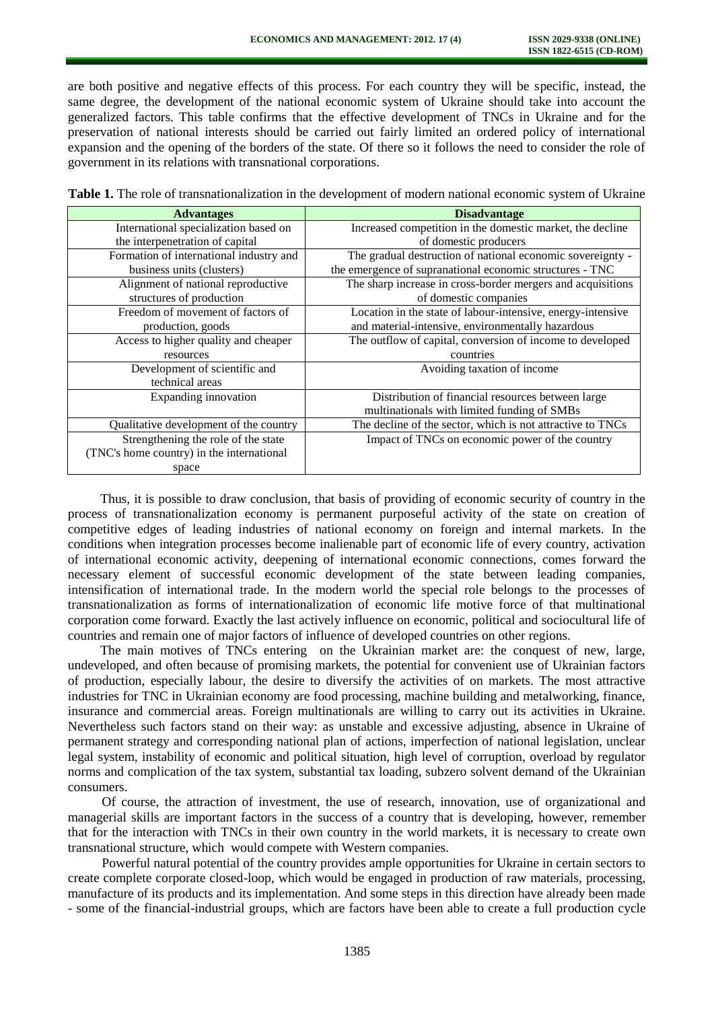are both positive and negative effects of this process. For each country they will be specific, instead, the same degree, the development of the national economic system of Ukraine should take into account the generalized factors. This table confirms that the effective development of TNCs in Ukraine and for the preservation of national interests should be carried out fairly limited an ordered policy of international expansion and the opening of the borders of the state. Of there so it follows the need to consider the role of government in its relations with transnational corporations.

**Table 1.** The role of transnationalization in the development of modern national economic system of Ukraine

| <b>Advantages</b>                         | <b>Disadvantage</b>                                         |  |
|-------------------------------------------|-------------------------------------------------------------|--|
| International specialization based on     | Increased competition in the domestic market, the decline   |  |
| the interpenetration of capital           | of domestic producers                                       |  |
| Formation of international industry and   | The gradual destruction of national economic sovereignty -  |  |
| business units (clusters)                 | the emergence of supranational economic structures - TNC    |  |
| Alignment of national reproductive        | The sharp increase in cross-border mergers and acquisitions |  |
| structures of production                  | of domestic companies                                       |  |
| Freedom of movement of factors of         | Location in the state of labour-intensive, energy-intensive |  |
| production, goods                         | and material-intensive, environmentally hazardous           |  |
| Access to higher quality and cheaper      | The outflow of capital, conversion of income to developed   |  |
| resources                                 | countries                                                   |  |
| Development of scientific and             | Avoiding taxation of income                                 |  |
| technical areas                           |                                                             |  |
| Expanding innovation                      | Distribution of financial resources between large           |  |
|                                           | multinationals with limited funding of SMBs                 |  |
| Qualitative development of the country    | The decline of the sector, which is not attractive to TNCs  |  |
| Strengthening the role of the state       | Impact of TNCs on economic power of the country             |  |
| (TNC's home country) in the international |                                                             |  |
| space                                     |                                                             |  |

Thus, it is possible to draw conclusion, that basis of providing of economic security of country in the process of transnationalization economy is permanent purposeful activity of the state on creation of competitive edges of leading industries of national economy on foreign and internal markets. In the conditions when integration processes become inalienable part of economic life of every country, activation of international economic activity, deepening of international economic connections, comes forward the necessary element of successful economic development of the state between leading companies, intensification of international trade. In the modern world the special role belongs to the processes of transnationalization as forms of internationalization of economic life motive force of that multinational corporation come forward. Exactly the last actively influence on economic, political and sociocultural life of countries and remain one of major factors of influence of developed countries on other regions.

The main motives of TNCs entering on the Ukrainian market are: the conquest of new, large, undeveloped, and often because of promising markets, the potential for convenient use of Ukrainian factors of production, especially labour, the desire to diversify the activities of on markets. The most attractive industries for TNC in Ukrainian economy are food processing, machine building and metalworking, finance, insurance and commercial areas. Foreign multinationals are willing to carry out its activities in Ukraine. Nevertheless such factors stand on their way: as unstable and excessive adjusting, absence in Ukraine of permanent strategy and corresponding national plan of actions, imperfection of national legislation, unclear legal system, instability of economic and political situation, high level of corruption, overload by regulator norms and complication of the tax system, substantial tax loading, subzero solvent demand of the Ukrainian consumers.

Of course, the attraction of investment, the use of research, innovation, use of organizational and managerial skills are important factors in the success of a country that is developing, however, remember that for the interaction with TNCs in their own country in the world markets, it is necessary to create own transnational structure, which would compete with Western companies.

Powerful natural potential of the country provides ample opportunities for Ukraine in certain sectors to create complete corporate closed-loop, which would be engaged in production of raw materials, processing, manufacture of its products and its implementation. And some steps in this direction have already been made - some of the financial-industrial groups, which are factors have been able to create a full production cycle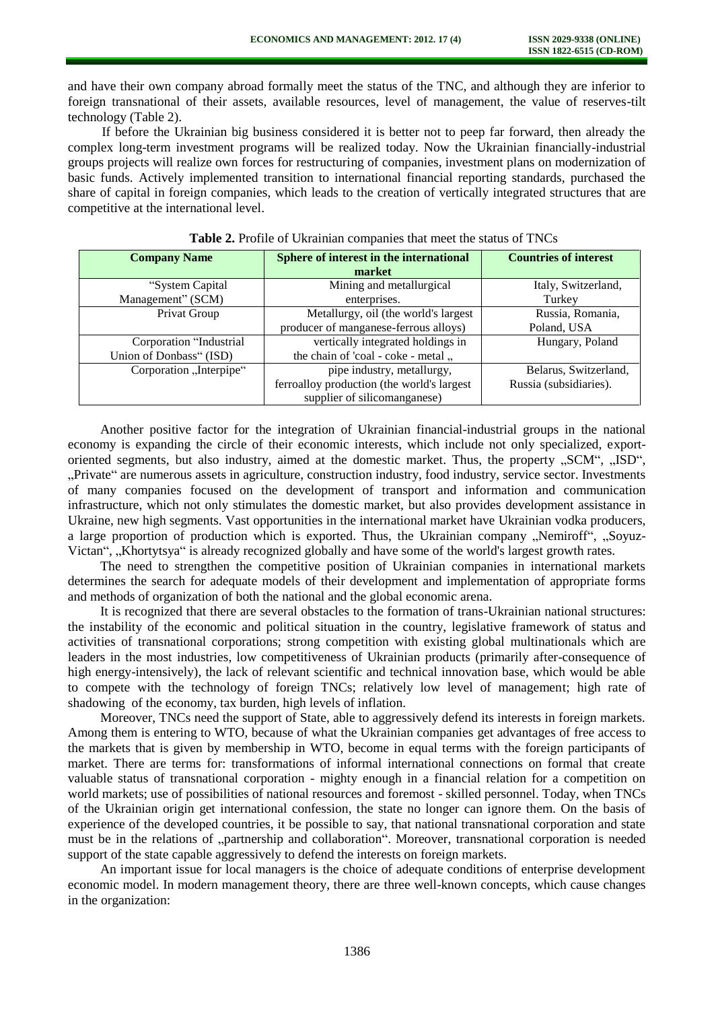and have their own company abroad formally meet the status of the TNC, and although they are inferior to foreign transnational of their assets, available resources, level of management, the value of reserves-tilt technology (Table 2).

If before the Ukrainian big business considered it is better not to peep far forward, then already the complex long-term investment programs will be realized today. Now the Ukrainian financially-industrial groups projects will realize own forces for restructuring of companies, investment plans on modernization of basic funds. Actively implemented transition to international financial reporting standards, purchased the share of capital in foreign companies, which leads to the creation of vertically integrated structures that are competitive at the international level.

| <b>Company Name</b>     | Sphere of interest in the international    | <b>Countries of interest</b> |
|-------------------------|--------------------------------------------|------------------------------|
|                         | market                                     |                              |
| "System Capital         | Mining and metallurgical                   | Italy, Switzerland,          |
| Management" (SCM)       | enterprises.                               | Turkey                       |
| Privat Group            | Metallurgy, oil (the world's largest       | Russia, Romania,             |
|                         | producer of manganese-ferrous alloys)      | Poland, USA                  |
| Corporation "Industrial | vertically integrated holdings in          | Hungary, Poland              |
| Union of Donbass" (ISD) | the chain of 'coal - coke - metal          |                              |
| Corporation "Interpipe" | pipe industry, metallurgy,                 | Belarus, Switzerland,        |
|                         | ferroalloy production (the world's largest | Russia (subsidiaries).       |
|                         | supplier of silicomanganese)               |                              |

| <b>Table 2.</b> Profile of Ukrainian companies that meet the status of TNCs |  |  |
|-----------------------------------------------------------------------------|--|--|
|-----------------------------------------------------------------------------|--|--|

Another positive factor for the integration of Ukrainian financial-industrial groups in the national economy is expanding the circle of their economic interests, which include not only specialized, exportoriented segments, but also industry, aimed at the domestic market. Thus, the property "SCM", "ISD", "Private" are numerous assets in agriculture, construction industry, food industry, service sector. Investments of many companies focused on the development of transport and information and communication infrastructure, which not only stimulates the domestic market, but also provides development assistance in Ukraine, new high segments. Vast opportunities in the international market have Ukrainian vodka producers, a large proportion of production which is exported. Thus, the Ukrainian company  $\mathcal{N}$ emiroff",  $\mathcal{N}$ Soyuz-Victan", "Khortytsya" is already recognized globally and have some of the world's largest growth rates.

The need to strengthen the competitive position of Ukrainian companies in international markets determines the search for adequate models of their development and implementation of appropriate forms and methods of organization of both the national and the global economic arena.

It is recognized that there are several obstacles to the formation of trans-Ukrainian national structures: the instability of the economic and political situation in the country, legislative framework of status and activities of transnational corporations; strong competition with existing global multinationals which are leaders in the most industries, low competitiveness of Ukrainian products (primarily after-consequence of high energy-intensively), the lack of relevant scientific and technical innovation base, which would be able to compete with the technology of foreign TNCs; relatively low level of management; high rate of shadowing of the economy, tax burden, high levels of inflation.

Moreover, TNCs need the support of State, able to aggressively defend its interests in foreign markets. Among them is entering to WTO, because of what the Ukrainian companies get advantages of free access to the markets that is given by membership in WTO, become in equal terms with the foreign participants of market. There are terms for: transformations of informal international connections on formal that create valuable status of transnational corporation - mighty enough in a financial relation for a competition on world markets; use of possibilities of national resources and foremost - skilled personnel. Today, when TNCs of the Ukrainian origin get international confession, the state no longer can ignore them. On the basis of experience of the developed countries, it be possible to say, that national transnational corporation and state must be in the relations of "partnership and collaboration". Moreover, transnational corporation is needed support of the state capable aggressively to defend the interests on foreign markets.

An important issue for local managers is the choice of adequate conditions of enterprise development economic model. In modern management theory, there are three well-known concepts, which cause changes in the organization: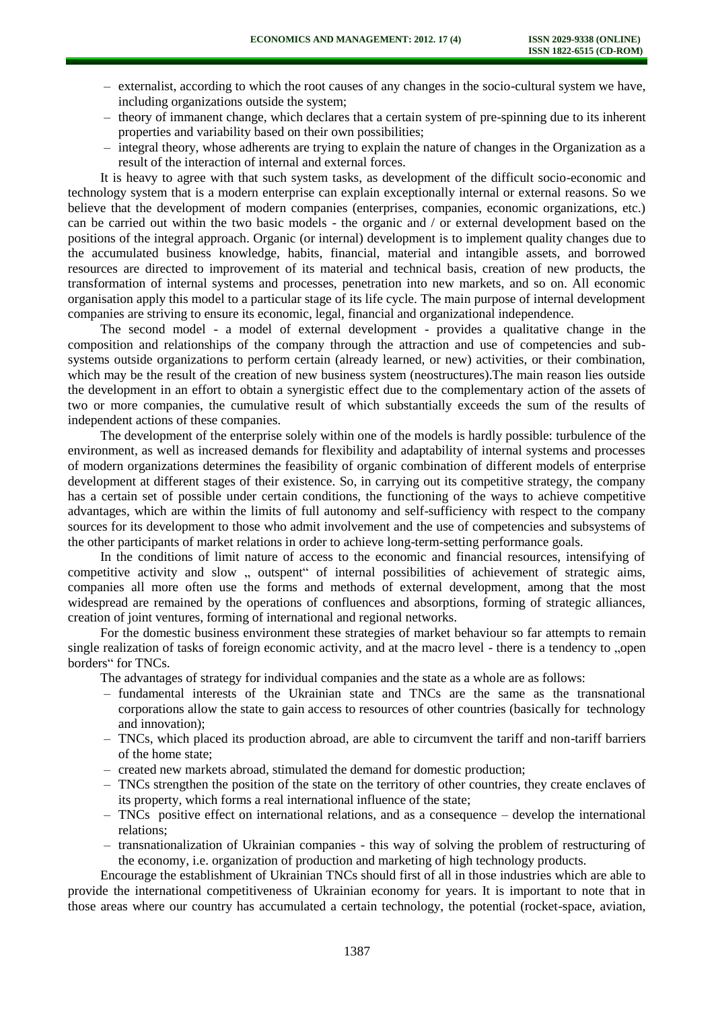- externalist, according to which the root causes of any changes in the socio-cultural system we have, including organizations outside the system;
- theory of immanent change, which declares that a certain system of pre-spinning due to its inherent properties and variability based on their own possibilities;
- integral theory, whose adherents are trying to explain the nature of changes in the Organization as a result of the interaction of internal and external forces.

It is heavy to agree with that such system tasks, as development of the difficult socio-economic and technology system that is a modern enterprise can explain exceptionally internal or external reasons. So we believe that the development of modern companies (enterprises, companies, economic organizations, etc.) can be carried out within the two basic models - the organic and / or external development based on the positions of the integral approach. Organic (or internal) development is to implement quality changes due to the accumulated business knowledge, habits, financial, material and intangible assets, and borrowed resources are directed to improvement of its material and technical basis, creation of new products, the transformation of internal systems and processes, penetration into new markets, and so on. All economic organisation apply this model to a particular stage of its life cycle. The main purpose of internal development companies are striving to ensure its economic, legal, financial and organizational independence.

The second model - a model of external development - provides a qualitative change in the composition and relationships of the company through the attraction and use of competencies and subsystems outside organizations to perform certain (already learned, or new) activities, or their combination, which may be the result of the creation of new business system (neostructures). The main reason lies outside the development in an effort to obtain a synergistic effect due to the complementary action of the assets of two or more companies, the cumulative result of which substantially exceeds the sum of the results of independent actions of these companies.

The development of the enterprise solely within one of the models is hardly possible: turbulence of the environment, as well as increased demands for flexibility and adaptability of internal systems and processes of modern organizations determines the feasibility of organic combination of different models of enterprise development at different stages of their existence. So, in carrying out its competitive strategy, the company has a certain set of possible under certain conditions, the functioning of the ways to achieve competitive advantages, which are within the limits of full autonomy and self-sufficiency with respect to the company sources for its development to those who admit involvement and the use of competencies and subsystems of the other participants of market relations in order to achieve long-term-setting performance goals.

In the conditions of limit nature of access to the economic and financial resources, intensifying of competitive activity and slow , outspent" of internal possibilities of achievement of strategic aims, companies all more often use the forms and methods of external development, among that the most widespread are remained by the operations of confluences and absorptions, forming of strategic alliances, creation of joint ventures, forming of international and regional networks.

For the domestic business environment these strategies of market behaviour so far attempts to remain single realization of tasks of foreign economic activity, and at the macro level - there is a tendency to "open borders" for TNCs.

The advantages of strategy for individual companies and the state as a whole are as follows:

- fundamental interests of the Ukrainian state and TNCs are the same as the transnational corporations allow the state to gain access to resources of other countries (basically for technology and innovation);
- TNCs, which placed its production abroad, are able to circumvent the tariff and non-tariff barriers of the home state;
- created new markets abroad, stimulated the demand for domestic production;
- TNCs strengthen the position of the state on the territory of other countries, they create enclaves of its property, which forms a real international influence of the state;
- TNCs positive effect on international relations, and as a consequence develop the international relations;
- transnationalization of Ukrainian companies this way of solving the problem of restructuring of the economy, i.e. organization of production and marketing of high technology products.

Encourage the establishment of Ukrainian TNCs should first of all in those industries which are able to provide the international competitiveness of Ukrainian economy for years. It is important to note that in those areas where our country has accumulated a certain technology, the potential (rocket-space, aviation,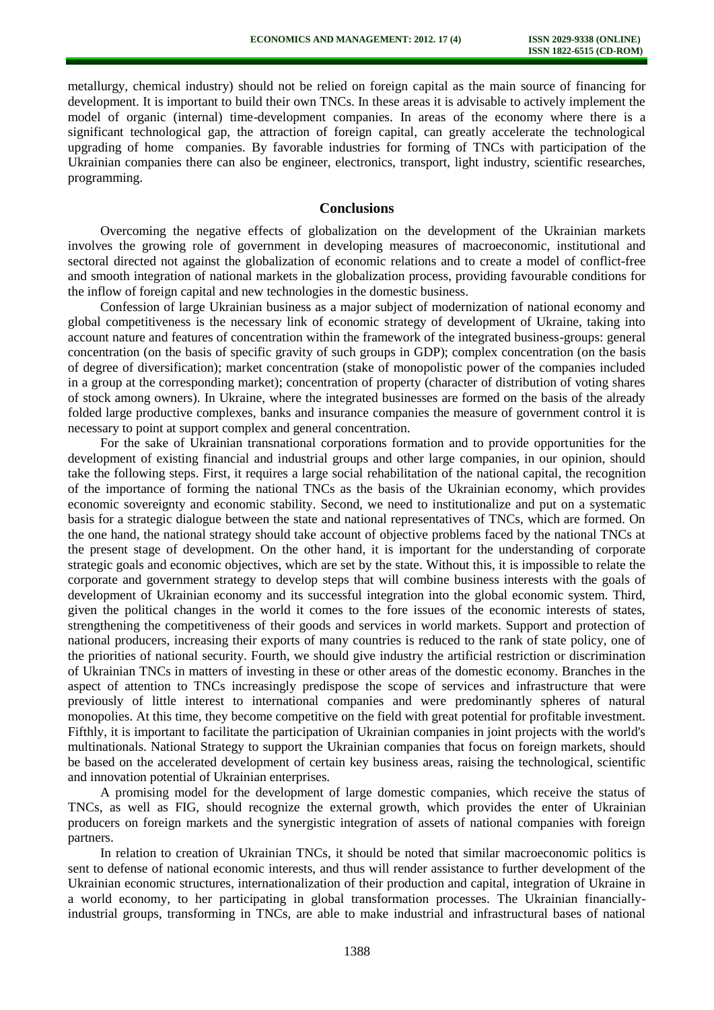metallurgy, chemical industry) should not be relied on foreign capital as the main source of financing for development. It is important to build their own TNCs. In these areas it is advisable to actively implement the model of organic (internal) time-development companies. In areas of the economy where there is a significant technological gap, the attraction of foreign capital, can greatly accelerate the technological upgrading of home companies. By favorable industries for forming of TNCs with participation of the Ukrainian companies there can also be engineer, electronics, transport, light industry, scientific researches, programming.

### **Conclusions**

Overcoming the negative effects of globalization on the development of the Ukrainian markets involves the growing role of government in developing measures of macroeconomic, institutional and sectoral directed not against the globalization of economic relations and to create a model of conflict-free and smooth integration of national markets in the globalization process, providing favourable conditions for the inflow of foreign capital and new technologies in the domestic business.

Confession of large Ukrainian business as a major subject of modernization of national economy and global competitiveness is the necessary link of economic strategy of development of Ukraine, taking into account nature and features of concentration within the framework of the integrated business-groups: general concentration (on the basis of specific gravity of such groups in GDP); complex concentration (on the basis of degree of diversification); market concentration (stake of monopolistic power of the companies included in a group at the corresponding market); concentration of property (character of distribution of voting shares of stock among owners). In Ukraine, where the integrated businesses are formed on the basis of the already folded large productive complexes, banks and insurance companies the measure of government control it is necessary to point at support complex and general concentration.

For the sake of Ukrainian transnational corporations formation and to provide opportunities for the development of existing financial and industrial groups and other large companies, in our opinion, should take the following steps. First, it requires a large social rehabilitation of the national capital, the recognition of the importance of forming the national TNCs as the basis of the Ukrainian economy, which provides economic sovereignty and economic stability. Second, we need to institutionalize and put on a systematic basis for a strategic dialogue between the state and national representatives of TNCs, which are formed. On the one hand, the national strategy should take account of objective problems faced by the national TNCs at the present stage of development. On the other hand, it is important for the understanding of corporate strategic goals and economic objectives, which are set by the state. Without this, it is impossible to relate the corporate and government strategy to develop steps that will combine business interests with the goals of development of Ukrainian economy and its successful integration into the global economic system. Third, given the political changes in the world it comes to the fore issues of the economic interests of states, strengthening the competitiveness of their goods and services in world markets. Support and protection of national producers, increasing their exports of many countries is reduced to the rank of state policy, one of the priorities of national security. Fourth, we should give industry the artificial restriction or discrimination of Ukrainian TNCs in matters of investing in these or other areas of the domestic economy. Branches in the aspect of attention to TNCs increasingly predispose the scope of services and infrastructure that were previously of little interest to international companies and were predominantly spheres of natural monopolies. At this time, they become competitive on the field with great potential for profitable investment. Fifthly, it is important to facilitate the participation of Ukrainian companies in joint projects with the world's multinationals. National Strategy to support the Ukrainian companies that focus on foreign markets, should be based on the accelerated development of certain key business areas, raising the technological, scientific and innovation potential of Ukrainian enterprises.

A promising model for the development of large domestic companies, which receive the status of TNCs, as well as FIG, should recognize the external growth, which provides the enter of Ukrainian producers on foreign markets and the synergistic integration of assets of national companies with foreign partners.

In relation to creation of Ukrainian TNCs, it should be noted that similar macroeconomic politics is sent to defense of national economic interests, and thus will render assistance to further development of the Ukrainian economic structures, internationalization of their production and capital, integration of Ukraine in a world economy, to her participating in global transformation processes. The Ukrainian financiallyindustrial groups, transforming in TNCs, are able to make industrial and infrastructural bases of national